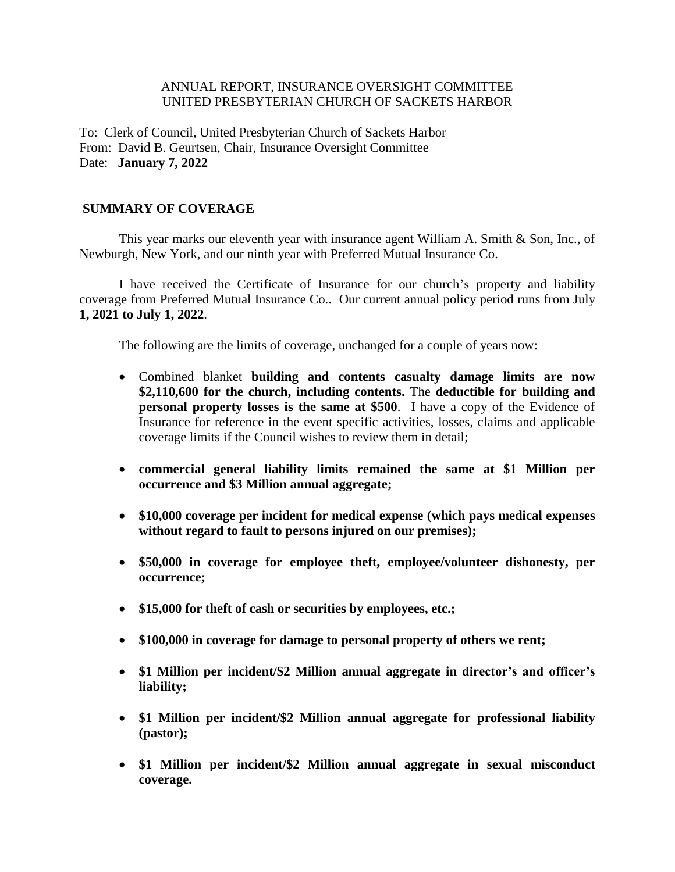## ANNUAL REPORT, INSURANCE OVERSIGHT COMMITTEE UNITED PRESBYTERIAN CHURCH OF SACKETS HARBOR

To: Clerk of Council, United Presbyterian Church of Sackets Harbor From: David B. Geurtsen, Chair, Insurance Oversight Committee Date: **January 7, 2022**

## **SUMMARY OF COVERAGE**

This year marks our eleventh year with insurance agent William A. Smith & Son, Inc., of Newburgh, New York, and our ninth year with Preferred Mutual Insurance Co.

I have received the Certificate of Insurance for our church's property and liability coverage from Preferred Mutual Insurance Co.. Our current annual policy period runs from July **1, 2021 to July 1, 2022**.

The following are the limits of coverage, unchanged for a couple of years now:

- Combined blanket **building and contents casualty damage limits are now \$2,110,600 for the church, including contents.** The **deductible for building and personal property losses is the same at \$500**. I have a copy of the Evidence of Insurance for reference in the event specific activities, losses, claims and applicable coverage limits if the Council wishes to review them in detail;
- **commercial general liability limits remained the same at \$1 Million per occurrence and \$3 Million annual aggregate;**
- **\$10,000 coverage per incident for medical expense (which pays medical expenses without regard to fault to persons injured on our premises);**
- **\$50,000 in coverage for employee theft, employee/volunteer dishonesty, per occurrence;**
- **\$15,000 for theft of cash or securities by employees, etc.;**
- **\$100,000 in coverage for damage to personal property of others we rent;**
- **\$1 Million per incident/\$2 Million annual aggregate in director's and officer's liability;**
- **\$1 Million per incident/\$2 Million annual aggregate for professional liability (pastor);**
- **\$1 Million per incident/\$2 Million annual aggregate in sexual misconduct coverage.**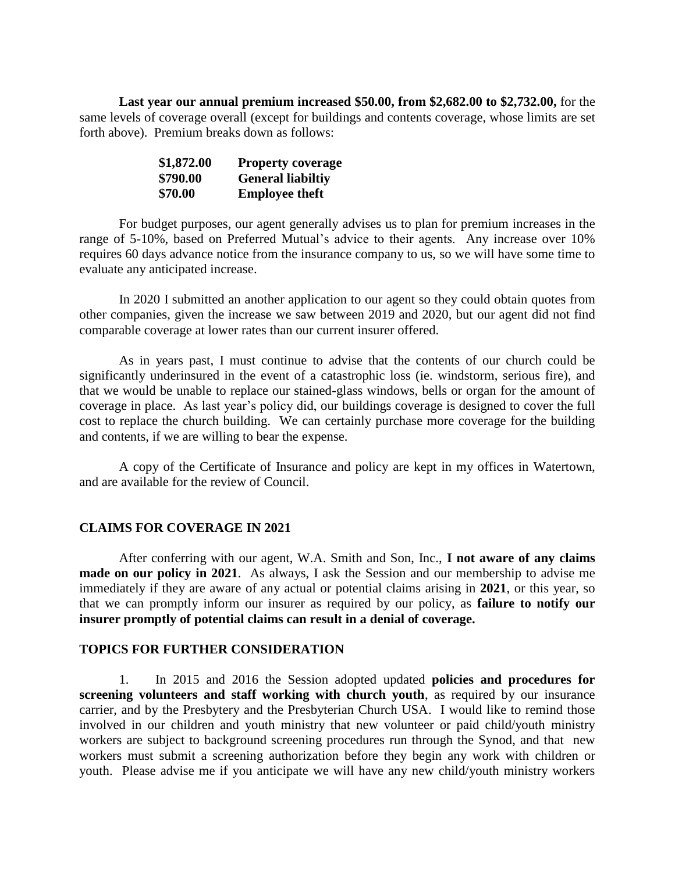**Last year our annual premium increased \$50.00, from \$2,682.00 to \$2,732.00,** for the same levels of coverage overall (except for buildings and contents coverage, whose limits are set forth above). Premium breaks down as follows:

| \$1,872.00 | <b>Property coverage</b> |
|------------|--------------------------|
| \$790.00   | <b>General liabiltiy</b> |
| \$70.00    | <b>Employee theft</b>    |

For budget purposes, our agent generally advises us to plan for premium increases in the range of 5-10%, based on Preferred Mutual's advice to their agents. Any increase over 10% requires 60 days advance notice from the insurance company to us, so we will have some time to evaluate any anticipated increase.

In 2020 I submitted an another application to our agent so they could obtain quotes from other companies, given the increase we saw between 2019 and 2020, but our agent did not find comparable coverage at lower rates than our current insurer offered.

As in years past, I must continue to advise that the contents of our church could be significantly underinsured in the event of a catastrophic loss (ie. windstorm, serious fire), and that we would be unable to replace our stained-glass windows, bells or organ for the amount of coverage in place. As last year's policy did, our buildings coverage is designed to cover the full cost to replace the church building. We can certainly purchase more coverage for the building and contents, if we are willing to bear the expense.

A copy of the Certificate of Insurance and policy are kept in my offices in Watertown, and are available for the review of Council.

## **CLAIMS FOR COVERAGE IN 2021**

After conferring with our agent, W.A. Smith and Son, Inc., **I not aware of any claims made on our policy in 2021**. As always, I ask the Session and our membership to advise me immediately if they are aware of any actual or potential claims arising in **2021**, or this year, so that we can promptly inform our insurer as required by our policy, as **failure to notify our insurer promptly of potential claims can result in a denial of coverage.**

## **TOPICS FOR FURTHER CONSIDERATION**

1. In 2015 and 2016 the Session adopted updated **policies and procedures for screening volunteers and staff working with church youth**, as required by our insurance carrier, and by the Presbytery and the Presbyterian Church USA. I would like to remind those involved in our children and youth ministry that new volunteer or paid child/youth ministry workers are subject to background screening procedures run through the Synod, and that new workers must submit a screening authorization before they begin any work with children or youth. Please advise me if you anticipate we will have any new child/youth ministry workers